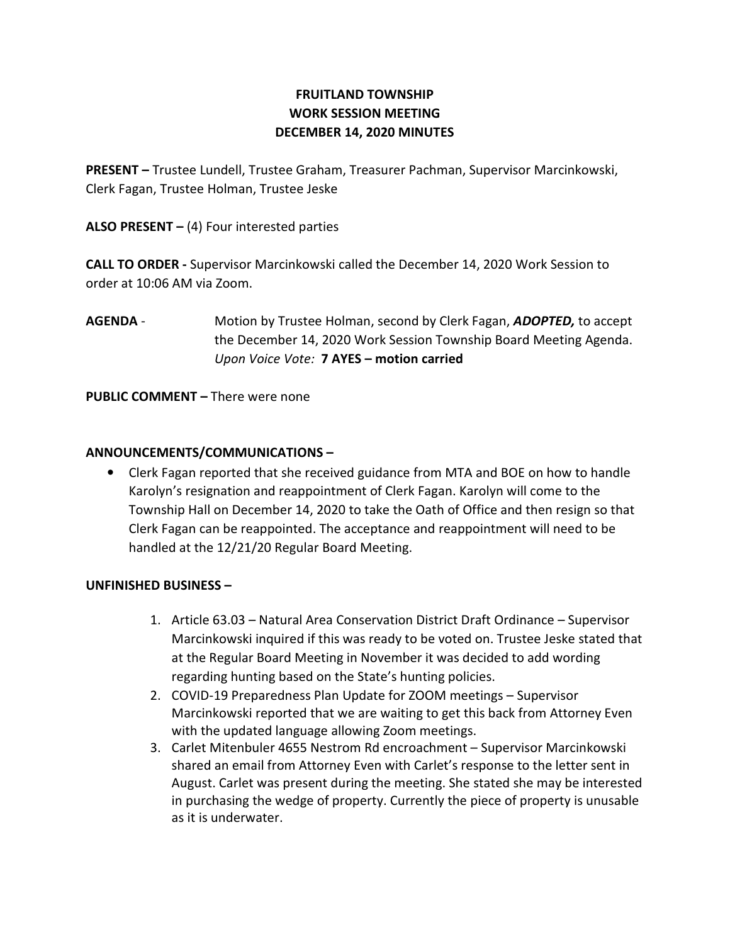# FRUITLAND TOWNSHIP WORK SESSION MEETING DECEMBER 14, 2020 MINUTES

PRESENT – Trustee Lundell, Trustee Graham, Treasurer Pachman, Supervisor Marcinkowski, Clerk Fagan, Trustee Holman, Trustee Jeske

ALSO PRESENT  $-$  (4) Four interested parties

CALL TO ORDER - Supervisor Marcinkowski called the December 14, 2020 Work Session to order at 10:06 AM via Zoom.

AGENDA - Motion by Trustee Holman, second by Clerk Fagan, ADOPTED, to accept the December 14, 2020 Work Session Township Board Meeting Agenda. Upon Voice Vote: 7 AYES – motion carried

PUBLIC COMMENT – There were none

## ANNOUNCEMENTS/COMMUNICATIONS –

• Clerk Fagan reported that she received guidance from MTA and BOE on how to handle Karolyn's resignation and reappointment of Clerk Fagan. Karolyn will come to the Township Hall on December 14, 2020 to take the Oath of Office and then resign so that Clerk Fagan can be reappointed. The acceptance and reappointment will need to be handled at the 12/21/20 Regular Board Meeting.

### UNFINISHED BUSINESS –

- 1. Article 63.03 Natural Area Conservation District Draft Ordinance Supervisor Marcinkowski inquired if this was ready to be voted on. Trustee Jeske stated that at the Regular Board Meeting in November it was decided to add wording regarding hunting based on the State's hunting policies.
- 2. COVID-19 Preparedness Plan Update for ZOOM meetings Supervisor Marcinkowski reported that we are waiting to get this back from Attorney Even with the updated language allowing Zoom meetings.
- 3. Carlet Mitenbuler 4655 Nestrom Rd encroachment Supervisor Marcinkowski shared an email from Attorney Even with Carlet's response to the letter sent in August. Carlet was present during the meeting. She stated she may be interested in purchasing the wedge of property. Currently the piece of property is unusable as it is underwater.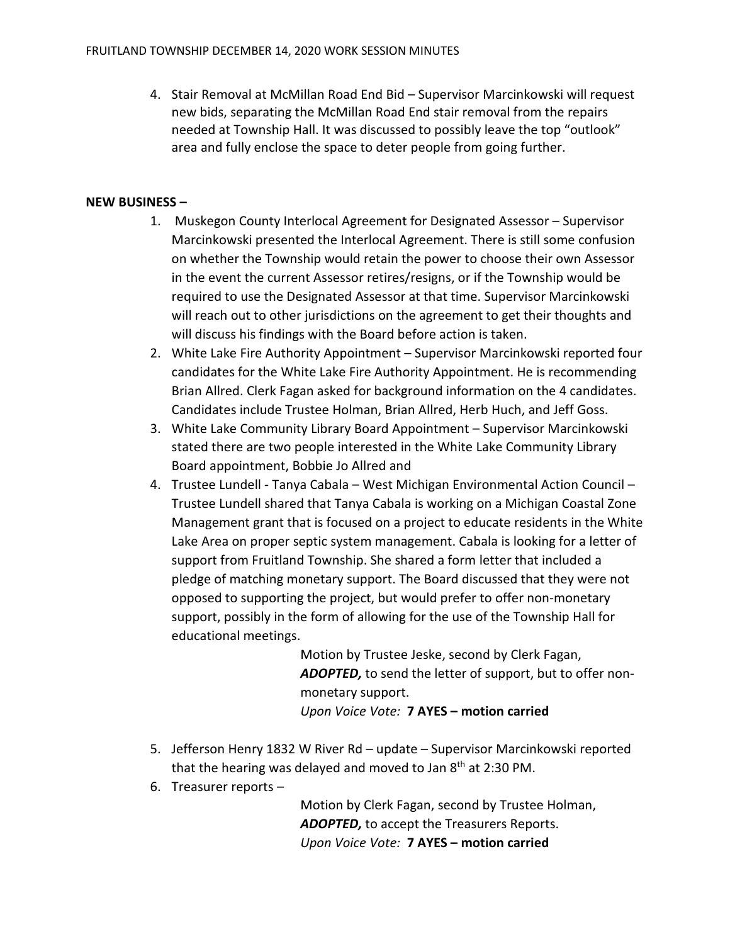4. Stair Removal at McMillan Road End Bid – Supervisor Marcinkowski will request new bids, separating the McMillan Road End stair removal from the repairs needed at Township Hall. It was discussed to possibly leave the top "outlook" area and fully enclose the space to deter people from going further.

#### NEW BUSINESS –

- 1. Muskegon County Interlocal Agreement for Designated Assessor Supervisor Marcinkowski presented the Interlocal Agreement. There is still some confusion on whether the Township would retain the power to choose their own Assessor in the event the current Assessor retires/resigns, or if the Township would be required to use the Designated Assessor at that time. Supervisor Marcinkowski will reach out to other jurisdictions on the agreement to get their thoughts and will discuss his findings with the Board before action is taken.
- 2. White Lake Fire Authority Appointment Supervisor Marcinkowski reported four candidates for the White Lake Fire Authority Appointment. He is recommending Brian Allred. Clerk Fagan asked for background information on the 4 candidates. Candidates include Trustee Holman, Brian Allred, Herb Huch, and Jeff Goss.
- 3. White Lake Community Library Board Appointment Supervisor Marcinkowski stated there are two people interested in the White Lake Community Library Board appointment, Bobbie Jo Allred and
- 4. Trustee Lundell Tanya Cabala West Michigan Environmental Action Council Trustee Lundell shared that Tanya Cabala is working on a Michigan Coastal Zone Management grant that is focused on a project to educate residents in the White Lake Area on proper septic system management. Cabala is looking for a letter of support from Fruitland Township. She shared a form letter that included a pledge of matching monetary support. The Board discussed that they were not opposed to supporting the project, but would prefer to offer non-monetary support, possibly in the form of allowing for the use of the Township Hall for educational meetings.

Motion by Trustee Jeske, second by Clerk Fagan, ADOPTED, to send the letter of support, but to offer nonmonetary support. Upon Voice Vote: 7 AYES – motion carried

- 5. Jefferson Henry 1832 W River Rd update Supervisor Marcinkowski reported that the hearing was delayed and moved to Jan  $8<sup>th</sup>$  at 2:30 PM.
- 6. Treasurer reports –

Motion by Clerk Fagan, second by Trustee Holman, ADOPTED, to accept the Treasurers Reports. Upon Voice Vote: 7 AYES – motion carried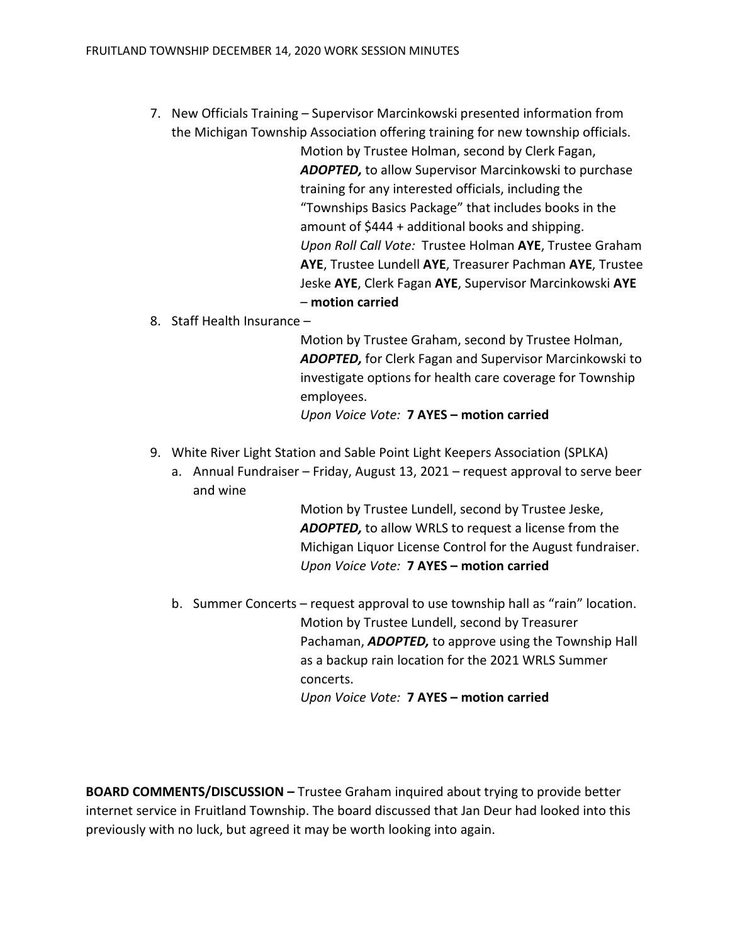7. New Officials Training – Supervisor Marcinkowski presented information from the Michigan Township Association offering training for new township officials.

> Motion by Trustee Holman, second by Clerk Fagan, ADOPTED, to allow Supervisor Marcinkowski to purchase training for any interested officials, including the "Townships Basics Package" that includes books in the amount of \$444 + additional books and shipping. Upon Roll Call Vote: Trustee Holman AYE, Trustee Graham AYE, Trustee Lundell AYE, Treasurer Pachman AYE, Trustee Jeske AYE, Clerk Fagan AYE, Supervisor Marcinkowski AYE – motion carried

8. Staff Health Insurance –

Motion by Trustee Graham, second by Trustee Holman, ADOPTED, for Clerk Fagan and Supervisor Marcinkowski to investigate options for health care coverage for Township employees.

Upon Voice Vote: 7 AYES – motion carried

- 9. White River Light Station and Sable Point Light Keepers Association (SPLKA)
	- a. Annual Fundraiser Friday, August 13, 2021 request approval to serve beer and wine

Motion by Trustee Lundell, second by Trustee Jeske, ADOPTED, to allow WRLS to request a license from the Michigan Liquor License Control for the August fundraiser. Upon Voice Vote: 7 AYES – motion carried

b. Summer Concerts – request approval to use township hall as "rain" location. Motion by Trustee Lundell, second by Treasurer Pachaman, **ADOPTED**, to approve using the Township Hall as a backup rain location for the 2021 WRLS Summer concerts. Upon Voice Vote: 7 AYES – motion carried

BOARD COMMENTS/DISCUSSION – Trustee Graham inquired about trying to provide better internet service in Fruitland Township. The board discussed that Jan Deur had looked into this previously with no luck, but agreed it may be worth looking into again.